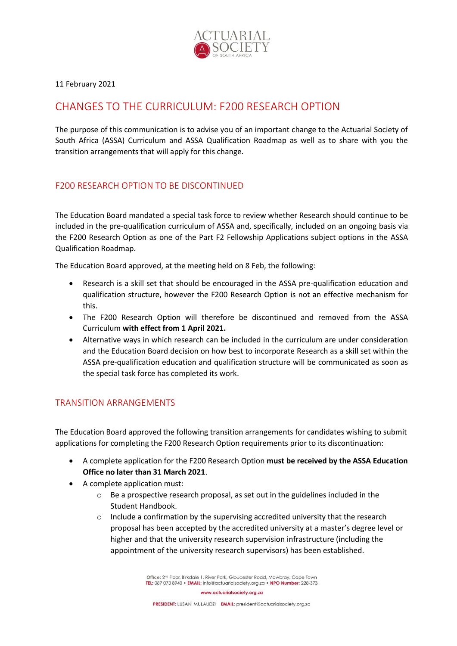

11 February 2021

## CHANGES TO THE CURRICULUM: F200 RESEARCH OPTION

The purpose of this communication is to advise you of an important change to the Actuarial Society of South Africa (ASSA) Curriculum and ASSA Qualification Roadmap as well as to share with you the transition arrangements that will apply for this change.

## F200 RESEARCH OPTION TO BE DISCONTINUED

The Education Board mandated a special task force to review whether Research should continue to be included in the pre-qualification curriculum of ASSA and, specifically, included on an ongoing basis via the F200 Research Option as one of the Part F2 Fellowship Applications subject options in the ASSA Qualification Roadmap.

The Education Board approved, at the meeting held on 8 Feb, the following:

- Research is a skill set that should be encouraged in the ASSA pre-qualification education and qualification structure, however the F200 Research Option is not an effective mechanism for this.
- The F200 Research Option will therefore be discontinued and removed from the ASSA Curriculum **with effect from 1 April 2021.**
- Alternative ways in which research can be included in the curriculum are under consideration and the Education Board decision on how best to incorporate Research as a skill set within the ASSA pre-qualification education and qualification structure will be communicated as soon as the special task force has completed its work.

## TRANSITION ARRANGEMENTS

The Education Board approved the following transition arrangements for candidates wishing to submit applications for completing the F200 Research Option requirements prior to its discontinuation:

- A complete application for the F200 Research Option **must be received by the ASSA Education Office no later than 31 March 2021**.
- A complete application must:
	- $\circ$  Be a prospective research proposal, as set out in the guidelines included in the Student Handbook.
	- $\circ$  Include a confirmation by the supervising accredited university that the research proposal has been accepted by the accredited university at a master's degree level or higher and that the university research supervision infrastructure (including the appointment of the university research supervisors) has been established.

Office: 2<sup>nd</sup> Floor, Birkdale 1, River Park, Gloucester Road, Mowbray, Cape Town TEL: 087 073 8940 · EMAIL: info@actuarialsociety.org.za · NPO Number: 228-373

www.actuarialsociety.org.za